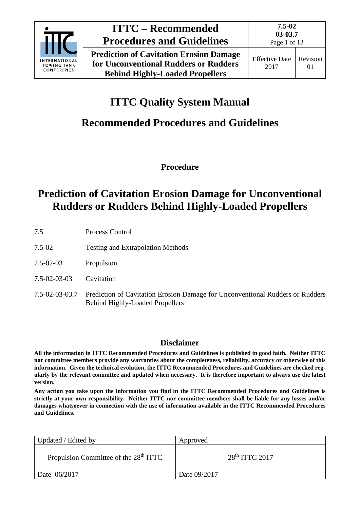

**Prediction of Cavitation Erosion Damage for Unconventional Rudders or Rudders Behind Highly-Loaded Propellers**

# **ITTC Quality System Manual**

# **Recommended Procedures and Guidelines**

**Procedure**

# **Prediction of Cavitation Erosion Damage for Unconventional Rudders or Rudders Behind Highly-Loaded Propellers**

- 7.5 Process Control
- 7.5-02 Testing and Extrapolation Methods
- 7.5-02-03 Propulsion
- 7.5-02-03-03 Cavitation
- 7.5-02-03-03.7 Prediction of Cavitation Erosion Damage for Unconventional Rudders or Rudders Behind Highly-Loaded Propellers

## **Disclaimer**

**All the information in ITTC Recommended Procedures and Guidelines is published in good faith. Neither ITTC nor committee members provide any warranties about the completeness, reliability, accuracy or otherwise of this information. Given the technical evolution, the ITTC Recommended Procedures and Guidelines are checked regularly by the relevant committee and updated when necessary. It is therefore important to always use the latest version.**

**Any action you take upon the information you find in the ITTC Recommended Procedures and Guidelines is strictly at your own responsibility. Neither ITTC nor committee members shall be liable for any losses and/or damages whatsoever in connection with the use of information available in the ITTC Recommended Procedures and Guidelines.**

| Updated / Edited by                               | Approved         |
|---------------------------------------------------|------------------|
| Propulsion Committee of the 28 <sup>th</sup> ITTC | $28th$ ITTC 2017 |
| Date 06/2017                                      | Date 09/2017     |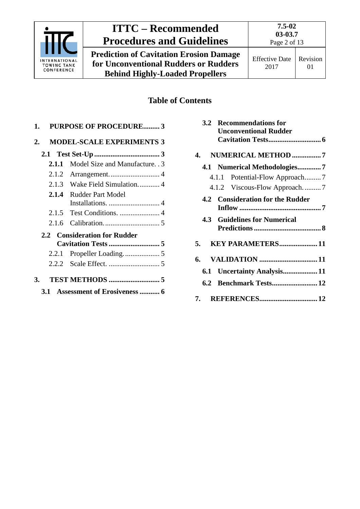

**Prediction of Cavitation Erosion Damage for Unconventional Rudders or Rudders Behind Highly-Loaded Propellers**

# **Table of Contents**

| <b>PURPOSE OF PROCEDURE 3</b><br>1. |                                  |  |
|-------------------------------------|----------------------------------|--|
| 2.                                  | <b>MODEL-SCALE EXPERIMENTS 3</b> |  |
|                                     |                                  |  |
| 2.1.1                               | Model Size and Manufacture. . 3  |  |
| 2.1.2                               |                                  |  |
| 2.1.3                               | Wake Field Simulation 4          |  |
|                                     | 2.1.4 Rudder Part Model          |  |
|                                     |                                  |  |
| 2.1.6                               |                                  |  |
|                                     | 2.2 Consideration for Rudder     |  |
|                                     |                                  |  |
|                                     |                                  |  |
|                                     |                                  |  |
| 3.                                  |                                  |  |
| 3.1 Assessment of Erosiveness  6    |                                  |  |

| 3.2 | <b>Recommendations for</b><br><b>Unconventional Rudder</b> |  |
|-----|------------------------------------------------------------|--|
|     | 4. NUMERICAL METHOD 7                                      |  |
|     | 4.1 Numerical Methodologies7                               |  |
|     | 4.1.1 Potential-Flow Approach7                             |  |
|     | 4.1.2 Viscous-Flow Approach7                               |  |
|     | 4.2 Consideration for the Rudder                           |  |
|     | <b>4.3 Guidelines for Numerical</b>                        |  |
| 5.  | <b>KEY PARAMETERS 11</b>                                   |  |
|     |                                                            |  |
|     | 6.1 Uncertainty Analysis 11                                |  |
|     | 6.2 Benchmark Tests 12                                     |  |
|     |                                                            |  |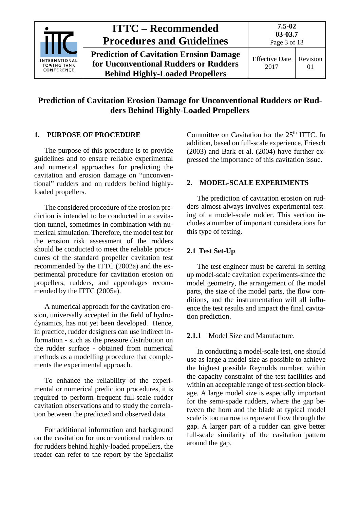

## **Prediction of Cavitation Erosion Damage for Unconventional Rudders or Rudders Behind Highly-Loaded Propellers**

### <span id="page-2-0"></span>**1. PURPOSE OF PROCEDURE**

The purpose of this procedure is to provide guidelines and to ensure reliable experimental and numerical approaches for predicting the cavitation and erosion damage on "unconventional" rudders and on rudders behind highlyloaded propellers.

The considered procedure of the erosion prediction is intended to be conducted in a cavitation tunnel, sometimes in combination with numerical simulation. Therefore, the model test for the erosion risk assessment of the rudders should be conducted to meet the reliable procedures of the standard propeller cavitation test recommended by the ITTC (2002a) and the experimental procedure for cavitation erosion on propellers, rudders, and appendages recommended by the ITTC (2005a).

A numerical approach for the cavitation erosion, universally accepted in the field of hydrodynamics, has not yet been developed. Hence, in practice, rudder designers can use indirect information - such as the pressure distribution on the rudder surface - obtained from numerical methods as a modelling procedure that complements the experimental approach.

To enhance the reliability of the experimental or numerical prediction procedures, it is required to perform frequent full-scale rudder cavitation observations and to study the correlation between the predicted and observed data.

For additional information and background on the cavitation for unconventional rudders or for rudders behind highly-loaded propellers, the reader can refer to the report by the Specialist Committee on Cavitation for the 25<sup>th</sup> ITTC. In addition, based on full-scale experience, Friesch (2003) and Bark et al. (2004) have further expressed the importance of this cavitation issue.

#### <span id="page-2-1"></span>**2. MODEL-SCALE EXPERIMENTS**

The prediction of cavitation erosion on rudders almost always involves experimental testing of a model-scale rudder. This section includes a number of important considerations for this type of testing.

#### <span id="page-2-2"></span>**2.1 Test Set-Up**

The test engineer must be careful in setting up model-scale cavitation experiments-since the model geometry, the arrangement of the model parts, the size of the model parts, the flow conditions, and the instrumentation will all influence the test results and impact the final cavitation prediction.

#### <span id="page-2-3"></span>**2.1.1** Model Size and Manufacture.

In conducting a model-scale test, one should use as large a model size as possible to achieve the highest possible Reynolds number, within the capacity constraint of the test facilities and within an acceptable range of test-section blockage. A large model size is especially important for the semi-spade rudders, where the gap between the horn and the blade at typical model scale is too narrow to represent flow through the gap. A larger part of a rudder can give better full-scale similarity of the cavitation pattern around the gap.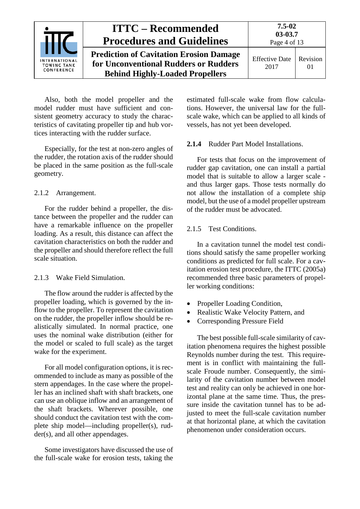

Also, both the model propeller and the model rudder must have sufficient and consistent geometry accuracy to study the characteristics of cavitating propeller tip and hub vortices interacting with the rudder surface.

Especially, for the test at non-zero angles of the rudder, the rotation axis of the rudder should be placed in the same position as the full-scale geometry.

### <span id="page-3-0"></span>2.1.2 Arrangement.

For the rudder behind a propeller, the distance between the propeller and the rudder can have a remarkable influence on the propeller loading. As a result, this distance can affect the cavitation characteristics on both the rudder and the propeller and should therefore reflect the full scale situation.

#### <span id="page-3-1"></span>2.1.3 Wake Field Simulation.

The flow around the rudder is affected by the propeller loading, which is governed by the inflow to the propeller. To represent the cavitation on the rudder, the propeller inflow should be realistically simulated. In normal practice, one uses the nominal wake distribution (either for the model or scaled to full scale) as the target wake for the experiment.

For all model configuration options, it is recommended to include as many as possible of the stern appendages. In the case where the propeller has an inclined shaft with shaft brackets, one can use an oblique inflow and an arrangement of the shaft brackets. Wherever possible, one should conduct the cavitation test with the complete ship model—including propeller(s), rudder(s), and all other appendages.

Some investigators have discussed the use of the full-scale wake for erosion tests, taking the estimated full-scale wake from flow calculations. However, the universal law for the fullscale wake, which can be applied to all kinds of vessels, has not yet been developed.

#### <span id="page-3-2"></span>**2.1.4** Rudder Part Model Installations.

For tests that focus on the improvement of rudder gap cavitation, one can install a partial model that is suitable to allow a larger scale and thus larger gaps. Those tests normally do not allow the installation of a complete ship model, but the use of a model propeller upstream of the rudder must be advocated.

### <span id="page-3-3"></span>2.1.5 Test Conditions.

In a cavitation tunnel the model test conditions should satisfy the same propeller working conditions as predicted for full scale. For a cavitation erosion test procedure, the ITTC (2005a) recommended three basic parameters of propeller working conditions:

- Propeller Loading Condition,
- Realistic Wake Velocity Pattern, and
- Corresponding Pressure Field

The best possible full-scale similarity of cavitation phenomena requires the highest possible Reynolds number during the test. This requirement is in conflict with maintaining the fullscale Froude number. Consequently, the similarity of the cavitation number between model test and reality can only be achieved in one horizontal plane at the same time. Thus, the pressure inside the cavitation tunnel has to be adjusted to meet the full-scale cavitation number at that horizontal plane, at which the cavitation phenomenon under consideration occurs.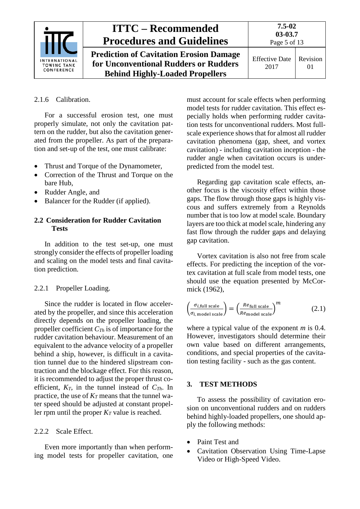

#### <span id="page-4-0"></span>2.1.6 Calibration.

For a successful erosion test, one must properly simulate, not only the cavitation pattern on the rudder, but also the cavitation generated from the propeller. As part of the preparation and set-up of the test, one must calibrate:

- Thrust and Torque of the Dynamometer,
- Correction of the Thrust and Torque on the bare Hub,
- Rudder Angle, and
- Balancer for the Rudder (if applied).

### <span id="page-4-1"></span>**2.2 Consideration for Rudder Cavitation Tests**

In addition to the test set-up, one must strongly consider the effects of propeller loading and scaling on the model tests and final cavitation prediction.

#### <span id="page-4-2"></span>2.2.1 Propeller Loading.

Since the rudder is located in flow accelerated by the propeller, and since this acceleration directly depends on the propeller loading, the propeller coefficient  $C_{Th}$  is of importance for the rudder cavitation behaviour. Measurement of an equivalent to the advance velocity of a propeller behind a ship, however, is difficult in a cavitation tunnel due to the hindered slipstream contraction and the blockage effect. For this reason, it is recommended to adjust the proper thrust coefficient,  $K_T$ , in the tunnel instead of  $C_{Th}$ . In practice, the use of  $K_T$  means that the tunnel water speed should be adjusted at constant propeller rpm until the proper  $K_T$  value is reached.

#### <span id="page-4-3"></span>2.2.2. Scale Effect.

Even more importantly than when performing model tests for propeller cavitation, one must account for scale effects when performing model tests for rudder cavitation. This effect especially holds when performing rudder cavitation tests for unconventional rudders. Most fullscale experience shows that for almost all rudder cavitation phenomena (gap, sheet, and vortex cavitation) - including cavitation inception - the rudder angle when cavitation occurs is underpredicted from the model test.

Regarding gap cavitation scale effects, another focus is the viscosity effect within those gaps. The flow through those gaps is highly viscous and suffers extremely from a Reynolds number that is too low at model scale. Boundary layers are too thick at model scale, hindering any fast flow through the rudder gaps and delaying gap cavitation.

Vortex cavitation is also not free from scale effects. For predicting the inception of the vortex cavitation at full scale from model tests, one should use the equation presented by McCormick (1962),

$$
\left(\frac{\sigma_{i,\text{full scale}}}{\sigma_{i,\text{ model scale}}}\right) = \left(\frac{Re_{\text{full scale}}}{Re_{\text{model scale}}}\right)^{m} \tag{2.1}
$$

where a typical value of the exponent *m* is 0.4. However, investigators should determine their own value based on different arrangements, conditions, and special properties of the cavitation testing facility - such as the gas content.

#### <span id="page-4-4"></span>**3. TEST METHODS**

To assess the possibility of cavitation erosion on unconventional rudders and on rudders behind highly-loaded propellers, one should apply the following methods:

- Paint Test and
- Cavitation Observation Using Time-Lapse Video or High-Speed Video.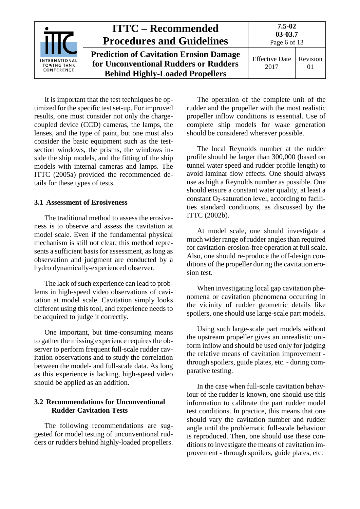|                                                          | <b>ITTC – Recommended</b><br><b>Procedures and Guidelines</b>                                                                     | $7.5 - 02$<br>03-03.7<br>Page 6 of 13 |                |
|----------------------------------------------------------|-----------------------------------------------------------------------------------------------------------------------------------|---------------------------------------|----------------|
| <b>INTERNATIONAL</b><br><b>TOWING TANK</b><br>CONFERENCE | <b>Prediction of Cavitation Erosion Damage</b><br>for Unconventional Rudders or Rudders<br><b>Behind Highly-Loaded Propellers</b> | <b>Effective Date</b><br>2017         | Revision<br>01 |

It is important that the test techniques be optimized for the specific test set-up. For improved results, one must consider not only the chargecoupled device (CCD) cameras, the lamps, the lenses, and the type of paint, but one must also consider the basic equipment such as the testsection windows, the prisms, the windows inside the ship models, and the fitting of the ship models with internal cameras and lamps. The ITTC (2005a) provided the recommended details for these types of tests.

#### <span id="page-5-0"></span>**3.1 Assessment of Erosiveness**

The traditional method to assess the erosiveness is to observe and assess the cavitation at model scale. Even if the fundamental physical mechanism is still not clear, this method represents a sufficient basis for assessment, as long as observation and judgment are conducted by a hydro dynamically-experienced observer.

The lack of su**c**h experience can lead to problems in high-speed video observations of cavitation at model scale. Cavitation simply looks different using this tool, and experience needs to be acquired to judge it correctly.

One important, but time-consuming means to gather the missing experience requires the observer to perform frequent full-scale rudder cavitation observations and to study the correlation between the model- and full-scale data. As long as this experience is lacking, high-speed video should be applied as an addition.

#### <span id="page-5-1"></span>**3.2 Recommendations for Unconventional Rudder Cavitation Tests**

The following recommendations are suggested for model testing of unconventional rudders or rudders behind highly-loaded propellers.

The operation of the complete unit of the rudder and the propeller with the most realistic propeller inflow conditions is essential. Use of complete ship models for wake generation should be considered wherever possible.

The local Reynolds number at the rudder profile should be larger than 300,000 (based on tunnel water speed and rudder profile length) to avoid laminar flow effects. One should always use as high a Reynolds number as possible. One should ensure a constant water quality, at least a constant  $O_2$ -saturation level, according to facilities standard conditions, as discussed by the ITTC (2002b).

At model scale, one should investigate a much wider range of rudder angles than required for cavitation-erosion-free operation at full scale. Also, one should re-produce the off-design conditions of the propeller during the cavitation erosion test.

When investigating local gap cavitation phenomena or cavitation phenomena occurring in the vicinity of rudder geometric details like spoilers, one should use large-scale part models.

Using such large-scale part models without the upstream propeller gives an unrealistic uniform inflow and should be used only for judging the relative means of cavitation improvement through spoilers, guide plates, etc. - during comparative testing.

In the case when full-scale cavitation behaviour of the rudder is known, one should use this information to calibrate the part rudder model test conditions. In practice, this means that one should vary the cavitation number and rudder angle until the problematic full-scale behaviour is reproduced. Then, one should use these conditions to investigate the means of cavitation improvement - through spoilers, guide plates, etc.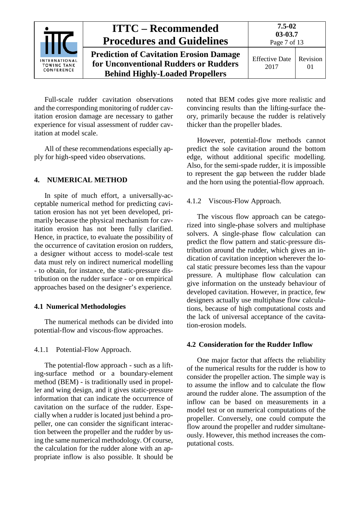

Full-scale rudder cavitation observations and the corresponding monitoring of rudder cavitation erosion damage are necessary to gather experience for visual assessment of rudder cavitation at model scale.

All of these recommendations especially apply for high-speed video observations.

### <span id="page-6-0"></span>**4. NUMERICAL METHOD**

In spite of much effort, a universally-acceptable numerical method for predicting cavitation erosion has not yet been developed, primarily because the physical mechanism for cavitation erosion has not been fully clarified. Hence, in practice, to evaluate the possibility of the occurrence of cavitation erosion on rudders, a designer without access to model-scale test data must rely on indirect numerical modelling - to obtain, for instance, the static-pressure distribution on the rudder surface - or on empirical approaches based on the designer's experience.

#### <span id="page-6-1"></span>**4.1 Numerical Methodologies**

The numerical methods can be divided into potential-flow and viscous-flow approaches.

<span id="page-6-2"></span>4.1.1 Potential-Flow Approach.

The potential-flow approach - such as a lifting-surface method or a boundary-element method (BEM) - is traditionally used in propeller and wing design, and it gives static-pressure information that can indicate the occurrence of cavitation on the surface of the rudder. Especially when a rudder is located just behind a propeller, one can consider the significant interaction between the propeller and the rudder by using the same numerical methodology. Of course, the calculation for the rudder alone with an appropriate inflow is also possible. It should be

noted that BEM codes give more realistic and convincing results than the lifting-surface theory, primarily because the rudder is relatively thicker than the propeller blades.

However, potential-flow methods cannot predict the sole cavitation around the bottom edge, without additional specific modelling. Also, for the semi-spade rudder, it is impossible to represent the gap between the rudder blade and the horn using the potential-flow approach.

#### <span id="page-6-3"></span>4.1.2 Viscous-Flow Approach.

The viscous flow approach can be categorized into single-phase solvers and multiphase solvers. A single-phase flow calculation can predict the flow pattern and static-pressure distribution around the rudder, which gives an indication of cavitation inception wherever the local static pressure becomes less than the vapour pressure. A multiphase flow calculation can give information on the unsteady behaviour of developed cavitation. However, in practice, few designers actually use multiphase flow calculations, because of high computational costs and the lack of universal acceptance of the cavitation-erosion models.

#### <span id="page-6-4"></span>**4.2 Consideration for the Rudder Inflow**

One major factor that affects the reliability of the numerical results for the rudder is how to consider the propeller action. The simple way is to assume the inflow and to calculate the flow around the rudder alone. The assumption of the inflow can be based on measurements in a model test or on numerical computations of the propeller. Conversely, one could compute the flow around the propeller and rudder simultaneously. However, this method increases the computational costs.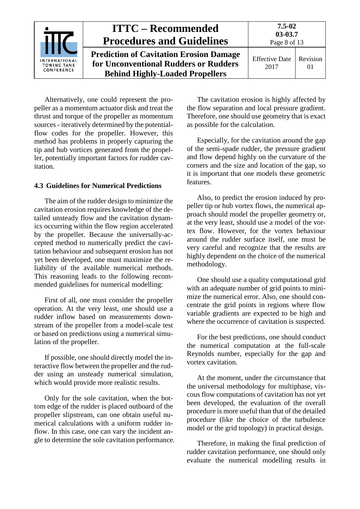| <b>INTERNATIONAL</b><br><b>TOWING TANK</b><br>CONFERENCE | <b>ITTC – Recommended</b><br><b>Procedures and Guidelines</b>                                                                     | $7.5 - 02$<br>03-03.7<br>Page 8 of 13 |                      |
|----------------------------------------------------------|-----------------------------------------------------------------------------------------------------------------------------------|---------------------------------------|----------------------|
|                                                          | <b>Prediction of Cavitation Erosion Damage</b><br>for Unconventional Rudders or Rudders<br><b>Behind Highly-Loaded Propellers</b> | <b>Effective Date</b><br>2017         | Revision<br>$\Omega$ |

Alternatively, one could represent the propeller as a momentum actuator disk and treat the thrust and torque of the propeller as momentum sources - iteratively determined by the potentialflow codes for the propeller. However, this method has problems in properly capturing the tip and hub vortices generated from the propeller, potentially important factors for rudder cavitation.

### <span id="page-7-0"></span>**4.3 Guidelines for Numerical Predictions**

The aim of the rudder design to minimize the cavitation erosion requires knowledge of the detailed unsteady flow and the cavitation dynamics occurring within the flow region accelerated by the propeller. Because the universally-accepted method to numerically predict the cavitation behaviour and subsequent erosion has not yet been developed, one must maximize the reliability of the available numerical methods. This reasoning leads to the following recommended guidelines for numerical modelling:

First of all, one must consider the propeller operation. At the very least, one should use a rudder inflow based on measurements downstream of the propeller from a model-scale test or based on predictions using a numerical simulation of the propeller.

If possible, one should directly model the interactive flow between the propeller and the rudder using an unsteady numerical simulation, which would provide more realistic results.

Only for the sole cavitation, when the bottom edge of the rudder is placed outboard of the propeller slipstream, can one obtain useful numerical calculations with a uniform rudder inflow. In this case, one can vary the incident angle to determine the sole cavitation performance.

The cavitation erosion is highly affected by the flow separation and local pressure gradient. Therefore, one should use geometry that is exact as possible for the calculation.

Especially, for the cavitation around the gap of the semi-spade rudder, the pressure gradient and flow depend highly on the curvature of the corners and the size and location of the gap, so it is important that one models these geometric features.

Also, to predict the erosion induced by propeller tip or hub vortex flows, the numerical approach should model the propeller geometry or, at the very least, should use a model of the vortex flow. However, for the vortex behaviour around the rudder surface itself, one must be very careful and recognize that the results are highly dependent on the choice of the numerical methodology.

One should use a quality computational grid with an adequate number of grid points to minimize the numerical error. Also, one should concentrate the grid points in regions where flow variable gradients are expected to be high and where the occurrence of cavitation is suspected.

For the best predictions, one should conduct the numerical computation at the full-scale Reynolds number, especially for the gap and vortex cavitation.

At the moment, under the circumstance that the universal methodology for multiphase, viscous flow computations of cavitation has not yet been developed, the evaluation of the overall procedure is more useful than that of the detailed procedure (like the choice of the turbulence model or the grid topology) in practical design.

Therefore, in making the final prediction of rudder cavitation performance, one should only evaluate the numerical modelling results in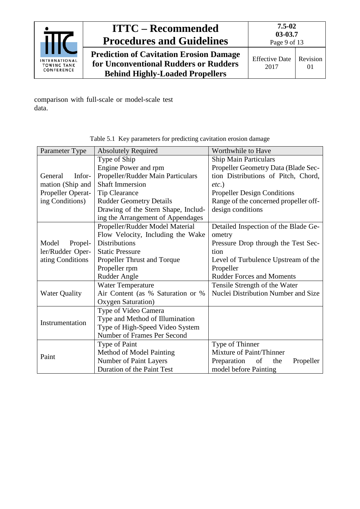

**Prediction of Cavitation Erosion Damage for Unconventional Rudders or Rudders Behind Highly-Loaded Propellers**

comparison with full-scale or model-scale test data.

| Parameter Type       | <b>Absolutely Required</b>          | Worthwhile to Have                    |  |
|----------------------|-------------------------------------|---------------------------------------|--|
|                      | Type of Ship                        | <b>Ship Main Particulars</b>          |  |
|                      | Engine Power and rpm                | Propeller Geometry Data (Blade Sec-   |  |
| Infor-<br>General    | Propeller/Rudder Main Particulars   | tion Distributions of Pitch, Chord,   |  |
| mation (Ship and     | <b>Shaft Immersion</b>              | $etc.$ )                              |  |
| Propeller Operat-    | <b>Tip Clearance</b>                | <b>Propeller Design Conditions</b>    |  |
| ing Conditions)      | <b>Rudder Geometry Details</b>      | Range of the concerned propeller off- |  |
|                      | Drawing of the Stern Shape, Includ- | design conditions                     |  |
|                      | ing the Arrangement of Appendages   |                                       |  |
|                      | Propeller/Rudder Model Material     | Detailed Inspection of the Blade Ge-  |  |
|                      | Flow Velocity, Including the Wake   | ometry                                |  |
| Model<br>Propel-     | <b>Distributions</b>                | Pressure Drop through the Test Sec-   |  |
| ler/Rudder Oper-     | <b>Static Pressure</b>              | tion                                  |  |
| ating Conditions     | Propeller Thrust and Torque         | Level of Turbulence Upstream of the   |  |
|                      | Propeller rpm                       | Propeller                             |  |
|                      | <b>Rudder Angle</b>                 | <b>Rudder Forces and Moments</b>      |  |
|                      | Water Temperature                   | Tensile Strength of the Water         |  |
| <b>Water Quality</b> | Air Content (as % Saturation or %   | Nuclei Distribution Number and Size   |  |
| Oxygen Saturation)   |                                     |                                       |  |
|                      | Type of Video Camera                |                                       |  |
| Instrumentation      | Type and Method of Illumination     |                                       |  |
|                      | Type of High-Speed Video System     |                                       |  |
|                      | Number of Frames Per Second         |                                       |  |
|                      | Type of Paint                       | Type of Thinner                       |  |
| Paint                | Method of Model Painting            | Mixture of Paint/Thinner              |  |
|                      | Number of Paint Layers              | Preparation<br>the<br>Propeller<br>of |  |
|                      | Duration of the Paint Test          | model before Painting                 |  |

Table 5.1 Key parameters for predicting cavitation erosion damage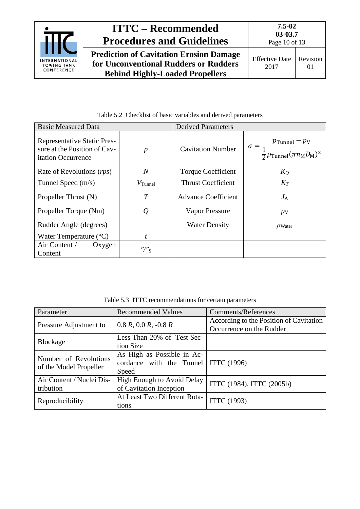

**Prediction of Cavitation Erosion Damage for Unconventional Rudders or Rudders Behind Highly-Loaded Propellers**

| <b>Basic Measured Data</b>                                                               |                                         | <b>Derived Parameters</b>  |                                                                                                                       |
|------------------------------------------------------------------------------------------|-----------------------------------------|----------------------------|-----------------------------------------------------------------------------------------------------------------------|
| <b>Representative Static Pres-</b><br>sure at the Position of Cav-<br>itation Occurrence | $\boldsymbol{p}$                        | <b>Cavitation Number</b>   | $p_{\text{Tunnel}}-p_{\text{V}}$<br>$\sigma =$<br>$\frac{1}{2} \rho_{\text{Tunnel}}(\pi n_{\text{M}} D_{\text{M}})^2$ |
| Rate of Revolutions (rps)                                                                | $\overline{N}$                          | <b>Torque Coefficient</b>  | $K_Q$                                                                                                                 |
| Tunnel Speed $(m/s)$                                                                     | $V$ Tunnel                              | <b>Thrust Coefficient</b>  | $K_T$                                                                                                                 |
| Propeller Thrust (N)                                                                     | $\overline{T}$                          | <b>Advance Coefficient</b> | $J_{\rm A}$                                                                                                           |
| Propeller Torque (Nm)                                                                    | $\varrho$                               | <b>Vapor Pressure</b>      | $p_{\rm V}$                                                                                                           |
| Rudder Angle (degrees)                                                                   |                                         | <b>Water Density</b>       | $\rho_{\text{Water}}$                                                                                                 |
| Water Temperature $(^{\circ}C)$                                                          | t                                       |                            |                                                                                                                       |
| Air Content /<br>Oxygen<br>Content                                                       | $^{\prime\prime}$ / $^{\prime\prime}$ s |                            |                                                                                                                       |

Table 5.2 Checklist of basic variables and derived parameters

Table 5.3 ITTC recommendations for certain parameters

| Parameter                 | <b>Recommended Values</b>                | Comments/References                     |  |
|---------------------------|------------------------------------------|-----------------------------------------|--|
| Pressure Adjustment to    | $0.8 R$ , $0.0 R$ , $-0.8 R$             | According to the Position of Cavitation |  |
|                           |                                          | Occurrence on the Rudder                |  |
| Blockage                  | Less Than 20% of Test Sec-               |                                         |  |
|                           | tion Size                                |                                         |  |
| Number of Revolutions     | As High as Possible in Ac-               |                                         |  |
| of the Model Propeller    | cordance with the Tunnel   ITTC $(1996)$ |                                         |  |
|                           | Speed                                    |                                         |  |
| Air Content / Nuclei Dis- | High Enough to Avoid Delay               | ITTC (1984), ITTC (2005b)               |  |
| tribution                 | of Cavitation Inception                  |                                         |  |
|                           | At Least Two Different Rota-             |                                         |  |
| Reproducibility           | tions                                    | <b>ITTC</b> (1993)                      |  |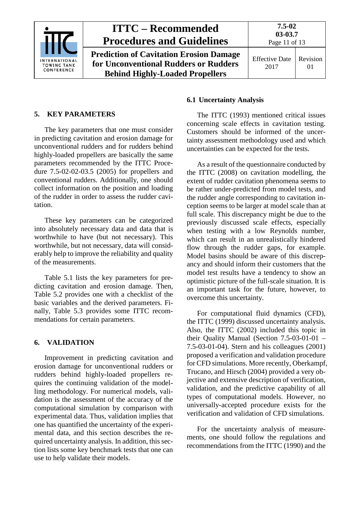

#### <span id="page-10-0"></span>**5. KEY PARAMETERS**

The key parameters that one must consider in predicting cavitation and erosion damage for unconventional rudders and for rudders behind highly-loaded propellers are basically the same parameters recommended by the ITTC Procedure 7.5-02-02-03.5 (2005) for propellers and conventional rudders. Additionally, one should collect information on the position and loading of the rudder in order to assess the rudder cavitation.

These key parameters can be categorized into absolutely necessary data and data that is worthwhile to have (but not necessary). This worthwhile, but not necessary, data will considerably help to improve the reliability and quality of the measurements.

Table 5.1 lists the key parameters for predicting cavitation and erosion damage. Then, Table 5.2 provides one with a checklist of the basic variables and the derived parameters. Finally, Table 5.3 provides some ITTC recommendations for certain parameters.

#### <span id="page-10-1"></span>**6. VALIDATION**

Improvement in predicting cavitation and erosion damage for unconventional rudders or rudders behind highly-loaded propellers requires the continuing validation of the modelling methodology. For numerical models, validation is the assessment of the accuracy of the computational simulation by comparison with experimental data. Thus, validation implies that one has quantified the uncertainty of the experimental data, and this section describes the required uncertainty analysis. In addition, this section lists some key benchmark tests that one can use to help validate their models.

#### <span id="page-10-2"></span>**6.1 Uncertainty Analysis**

The ITTC (1993) mentioned critical issues concerning scale effects in cavitation testing. Customers should be informed of the uncertainty assessment methodology used and which uncertainties can be expected for the tests.

As a result of the questionnaire conducted by the ITTC (2008) on cavitation modelling, the extent of rudder cavitation phenomena seems to be rather under-predicted from model tests, and the rudder angle corresponding to cavitation inception seems to be larger at model scale than at full scale. This discrepancy might be due to the previously discussed scale effects, especially when testing with a low Reynolds number, which can result in an unrealistically hindered flow through the rudder gaps, for example. Model basins should be aware of this discrepancy and should inform their customers that the model test results have a tendency to show an optimistic picture of the full-scale situation. It is an important task for the future, however, to overcome this uncertainty.

For computational fluid dynamics (CFD), the ITTC (1999) discussed uncertainty analysis. Also, the ITTC (2002) included this topic in their Quality Manual (Section 7.5-03-01-01 – 7.5-03-01-04). Stern and his colleagues (2001) proposed a verification and validation procedure for CFD simulations. More recently, Oberkampf, Trucano, and Hirsch (2004) provided a very objective and extensive description of verification, validation, and the predictive capability of all types of computational models. However, no universally-accepted procedure exists for the verification and validation of CFD simulations.

For the uncertainty analysis of measurements, one should follow the regulations and recommendations from the ITTC (1990) and the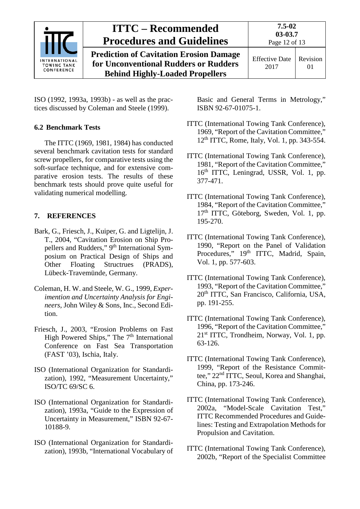

ISO (1992, 1993a, 1993b) - as well as the practices discussed by Coleman and Steele (1999).

### <span id="page-11-0"></span>**6.2 Benchmark Tests**

The ITTC (1969, 1981, 1984) has conducted several benchmark cavitation tests for standard screw propellers, for comparative tests using the soft-surface technique, and for extensive comparative erosion tests. The results of these benchmark tests should prove quite useful for validating numerical modelling.

### <span id="page-11-1"></span>**7. REFERENCES**

- Bark, G., Friesch, J., Kuiper, G. and Ligtelijn, J. T., 2004, "Cavitation Erosion on Ship Propellers and Rudders," 9<sup>th</sup> International Symposium on Practical Design of Ships and Other Floating Structrues (PRADS), Lübeck-Travemünde, Germany.
- Coleman, H. W. and Steele, W. G., 1999, *Experimention and Uncertainty Analysis for Engineers*, John Wiley & Sons, Inc., Second Edition.
- Friesch, J., 2003, "Erosion Problems on Fast High Powered Ships," The  $7<sup>th</sup>$  International Conference on Fast Sea Transportation (FAST '03), Ischia, Italy.
- ISO (International Organization for Standardization), 1992, "Measurement Uncertainty," ISO/TC 69/SC 6.
- ISO (International Organization for Standardization), 1993a, "Guide to the Expression of Uncertainty in Measurement," ISBN 92-67- 10188-9.
- ISO (International Organization for Standardization), 1993b, "International Vocabulary of

Basic and General Terms in Metrology," ISBN 92-67-01075-1.

- ITTC (International Towing Tank Conference), 1969, "Report of the Cavitation Committee,"  $12<sup>th</sup> TTC$ , Rome, Italy, Vol. 1, pp. 343-554.
- ITTC (International Towing Tank Conference), 1981, "Report of the Cavitation Committee," 16th ITTC, Leningrad, USSR, Vol. 1, pp. 377-471.
- ITTC (International Towing Tank Conference), 1984, "Report of the Cavitation Committee," 17<sup>th</sup> ITTC, Göteborg, Sweden, Vol. 1, pp. 195-270.
- ITTC (International Towing Tank Conference), 1990, "Report on the Panel of Validation Procedures," 19th ITTC, Madrid, Spain, Vol. 1, pp. 577-603.
- ITTC (International Towing Tank Conference), 1993, "Report of the Cavitation Committee," 20<sup>th</sup> ITTC, San Francisco, California, USA, pp. 191-255.
- ITTC (International Towing Tank Conference), 1996, "Report of the Cavitation Committee," 21st ITTC, Trondheim, Norway, Vol. 1, pp. 63-126.
- ITTC (International Towing Tank Conference), 1999, "Report of the Resistance Committee," 22nd ITTC, Seoul, Korea and Shanghai, China, pp. 173-246.
- ITTC (International Towing Tank Conference), 2002a, "Model-Scale Cavitation Test," ITTC Recommended Procedures and Guidelines: Testing and Extrapolation Methods for Propulsion and Cavitation.
- ITTC (International Towing Tank Conference), 2002b, "Report of the Specialist Committee